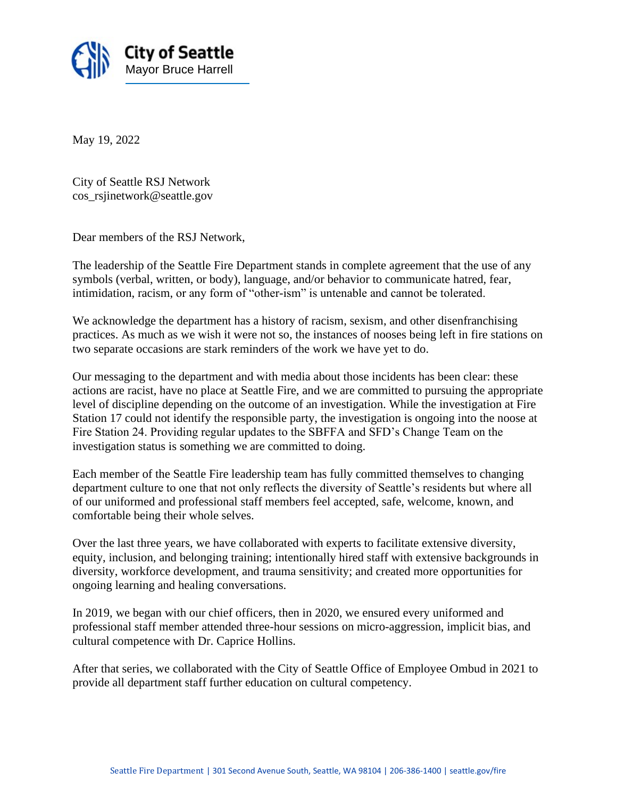

May 19, 2022

City of Seattle RSJ Network cos\_rsjinetwork@seattle.gov

Dear members of the RSJ Network,

The leadership of the Seattle Fire Department stands in complete agreement that the use of any symbols (verbal, written, or body), language, and/or behavior to communicate hatred, fear, intimidation, racism, or any form of "other-ism" is untenable and cannot be tolerated.

We acknowledge the department has a history of racism, sexism, and other disenfranchising practices. As much as we wish it were not so, the instances of nooses being left in fire stations on two separate occasions are stark reminders of the work we have yet to do.

Our messaging to the department and with media about those incidents has been clear: these actions are racist, have no place at Seattle Fire, and we are committed to pursuing the appropriate level of discipline depending on the outcome of an investigation. While the investigation at Fire Station 17 could not identify the responsible party, the investigation is ongoing into the noose at Fire Station 24. Providing regular updates to the SBFFA and SFD's Change Team on the investigation status is something we are committed to doing.

Each member of the Seattle Fire leadership team has fully committed themselves to changing department culture to one that not only reflects the diversity of Seattle's residents but where all of our uniformed and professional staff members feel accepted, safe, welcome, known, and comfortable being their whole selves.

Over the last three years, we have collaborated with experts to facilitate extensive diversity, equity, inclusion, and belonging training; intentionally hired staff with extensive backgrounds in diversity, workforce development, and trauma sensitivity; and created more opportunities for ongoing learning and healing conversations.

In 2019, we began with our chief officers, then in 2020, we ensured every uniformed and professional staff member attended three-hour sessions on micro-aggression, implicit bias, and cultural competence with Dr. Caprice Hollins.

After that series, we collaborated with the City of Seattle Office of Employee Ombud in 2021 to provide all department staff further education on cultural competency.